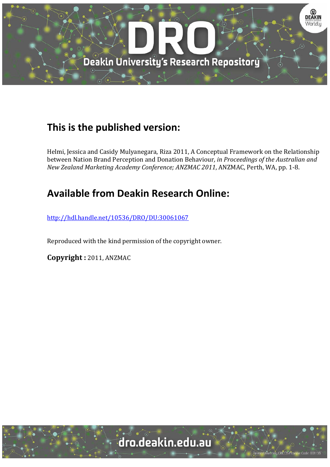

## **This is the published version:**

Helmi, Jessica and Casidy Mulyanegara, Riza 2011, A Conceptual Framework on the Relationship between Nation Brand Perception and Donation Behaviour*, in Proceedings of the Australian and New Zealand Marketing Academy Conference; ANZMAC 2011*, ANZMAC, Perth, WA, pp. 1‐8. 

# **Available from Deakin Research Online:**

http://hdl.handle.net/10536/DRO/DU:30061067

Reproduced with the kind permission of the copyright owner.

**Copyright :** 2011, ANZMAC

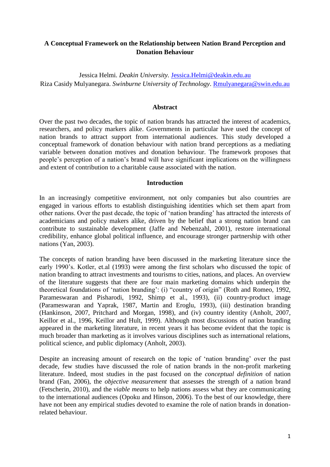## **A Conceptual Framework on the Relationship between Nation Brand Perception and Donation Behaviour**

Jessica Helmi*. Deakin University.* [Jessica.Helmi@deakin.edu.au](mailto:Jessica.Helmi@deakin.edu.au) Riza Casidy Mulyanegara. *Swinburne University of Technology*. [Rmulyanegara@swin.edu.au](mailto:Rmulyanegara@swin.edu.au)

#### **Abstract**

Over the past two decades, the topic of nation brands has attracted the interest of academics, researchers, and policy markers alike. Governments in particular have used the concept of nation brands to attract support from international audiences. This study developed a conceptual framework of donation behaviour with nation brand perceptions as a mediating variable between donation motives and donation behaviour. The framework proposes that people's perception of a nation's brand will have significant implications on the willingness and extent of contribution to a charitable cause associated with the nation.

#### **Introduction**

In an increasingly competitive environment, not only companies but also countries are engaged in various efforts to establish distinguishing identities which set them apart from other nations. Over the past decade, the topic of ‗nation branding' has attracted the interests of academicians and policy makers alike, driven by the belief that a strong nation brand can contribute to sustainable development (Jaffe and Nebenzahl, 2001), restore international credibility, enhance global political influence, and encourage stronger partnership with other nations (Yan, 2003).

The concepts of nation branding have been discussed in the marketing literature since the early 1990's. Kotler, et.al (1993) were among the first scholars who discussed the topic of nation branding to attract investments and tourisms to cities, nations, and places. An overview of the literature suggests that there are four main marketing domains which underpin the theoretical foundations of 'nation branding': (i) "country of origin" (Roth and Romeo, 1992, Parameswaran and Pisharodi, 1992, Shimp et al., 1993), (ii) country-product image (Parameswaran and Yaprak, 1987, Martin and Eroglu, 1993), (iii) destination branding (Hankinson, 2007, Pritchard and Morgan, 1998), and (iv) country identity (Anholt, 2007, Keillor et al., 1996, Keillor and Hult, 1999). Although most discussions of nation branding appeared in the marketing literature, in recent years it has become evident that the topic is much broader than marketing as it involves various disciplines such as international relations, political science, and public diplomacy (Anholt, 2003).

Despite an increasing amount of research on the topic of 'nation branding' over the past decade, few studies have discussed the role of nation brands in the non-profit marketing literature. Indeed, most studies in the past focused on the *conceptual definition* of nation brand (Fan, 2006), the *objective measurement* that assesses the strength of a nation brand (Fetscherin, 2010), and the *viable means* to help nations assess what they are communicating to the international audiences (Opoku and Hinson, 2006). To the best of our knowledge, there have not been any empirical studies devoted to examine the role of nation brands in donationrelated behaviour.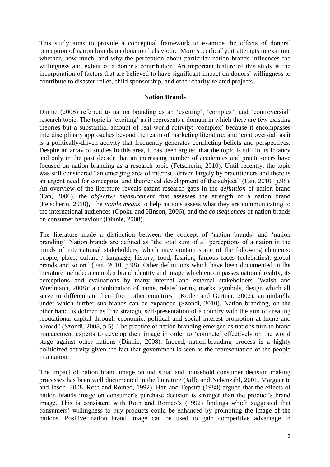This study aims to provide a conceptual framework to examine the effects of donors' perception of nation brands on donation behaviour. More specifically, it attempts to examine whether, how much, and why the perception about particular nation brands influences the willingness and extent of a donor's contribution. An important feature of this study is the incorporation of factors that are believed to have significant impact on donors' willingness to contribute to disaster-relief, child sponsorship, and other charity-related projects.

### **Nation Brands**

Dinnie (2008) referred to nation branding as an 'exciting', 'complex', and 'controversial' research topic. The topic is 'exciting' as it represents a domain in which there are few existing theories but a substantial amount of real world activity; ‗complex' because it encompasses interdisciplinary approaches beyond the realm of marketing literature; and 'controversial' as it is a politically-driven activity that frequently generates conflicting beliefs and perspectives. Despite an array of studies in this area, it has been argued that the topic is still in its infancy and only in the past decade that an increasing number of academics and practitioners have focused on nation branding as a research topic (Fetscherin, 2010). Until recently, the topic was still considered "an emerging area of interest...driven largely by practitioners and there is an urgent need for conceptual and theoretical development of the subject" (Fan, 2010, p.98). An overview of the literature reveals extant research gaps in the *definition* of nation brand (Fan, 2006), the *objective measurement* that assesses the strength of a nation brand (Fetscherin, 2010), the *viable means* to help nations assess what they are communicating to the international audiences (Opoku and Hinson, 2006), and the *consequences* of nation brands on consumer behaviour (Dinnie, 2008).

The literature made a distinction between the concept of 'nation brands' and 'nation branding'. Nation brands are defined as "the total sum of all perceptions of a nation in the minds of international stakeholders, which may contain some of the following elements: people, place, culture / language, history, food, fashion, famous faces (celebrities), global brands and so on" (Fan, 2010, p.98). Other definitions which have been documented in the literature include: a complex brand identity and image which encompasses national reality, its perceptions and evaluations by many internal and external stakeholders (Walsh and Wiedmann, 2008); a combination of name, related terms, marks, symbols, design which all serve to differentiate them from other countries (Kotler and Gertner, 2002); an umbrella under which further sub-brands can be expanded (Szondi, 2010). Nation branding, on the other hand, is defined as "the strategic self-presentation of a country with the aim of creating reputational capital through economic, political and social interest promotion at home and abroad‖ (Szondi, 2008, p.5). The practice of nation branding emerged as nations turn to brand management experts to develop their image in order to 'compete' effectively on the world stage against other nations (Dinnie, 2008). Indeed, nation-branding process is a highly politicized activity given the fact that government is seen as the representation of the people in a nation.

The impact of nation brand image on industrial and household consumer decision making processes has been well documented in the literature (Jaffe and Nebenzahl, 2001, Marguerite and Jason, 2008, Roth and Romeo, 1992). Han and Tepstra (1988) argued that the effects of nation brands image on consumer's purchase decision is stronger than the product's brand image. This is consistent with Roth and Romeo's (1992) findings which suggested that consumers' willingness to buy products could be enhanced by promoting the image of the nations. Positive nation brand image can be used to gain competitive advantage in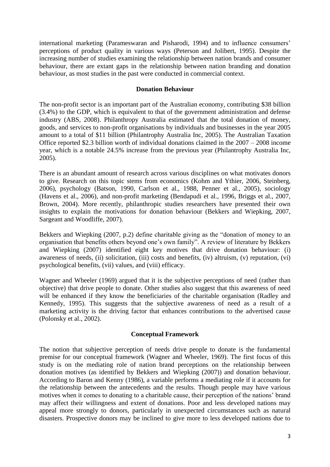international marketing (Parameswaran and Pisharodi, 1994) and to influence consumers' perceptions of product quality in various ways (Peterson and Jolibert, 1995). Despite the increasing number of studies examining the relationship between nation brands and consumer behaviour, there are extant gaps in the relationship between nation branding and donation behaviour, as most studies in the past were conducted in commercial context.

#### **Donation Behaviour**

The non-profit sector is an important part of the Australian economy, contributing \$38 billion (3.4%) to the GDP, which is equivalent to that of the government administration and defense industry (ABS, 2008). Philanthropy Australia estimated that the total donation of money, goods, and services to non-profit organisations by individuals and businesses in the year 2005 amount to a total of \$11 billion (Philantrophy Australia Inc, 2005). The Australian Taxation Office reported \$2.3 billion worth of individual donations claimed in the 2007 – 2008 income year, which is a notable 24.5% increase from the previous year (Philantrophy Australia Inc, 2005).

There is an abundant amount of research across various disciplines on what motivates donors to give. Research on this topic stems from economics (Kohm and Ythier, 2006, Steinberg, 2006), psychology (Batson, 1990, Carlson et al., 1988, Penner et al., 2005), sociology (Havens et al., 2006), and non-profit marketing (Bendapudi et al., 1996, Briggs et al., 2007, Brown, 2004). More recently, philanthropic studies researchers have presented their own insights to explain the motivations for donation behaviour (Bekkers and Wiepking, 2007, Sargeant and Woodliffe, 2007).

Bekkers and Wiepking  $(2007, p.2)$  define charitable giving as the "donation of money to an organisation that benefits others beyond one's own family". A review of literature by Bekkers and Wiepking (2007) identified eight key motives that drive donation behaviour: (i) awareness of needs, (ii) solicitation, (iii) costs and benefits, (iv) altruism, (v) reputation, (vi) psychological benefits, (vii) values, and (viii) efficacy.

Wagner and Wheeler (1969) argued that it is the subjective perceptions of need (rather than objective) that drive people to donate. Other studies also suggest that this awareness of need will be enhanced if they know the beneficiaries of the charitable organisation (Radley and Kennedy, 1995). This suggests that the subjective awareness of need as a result of a marketing activity is the driving factor that enhances contributions to the advertised cause (Polonsky et al., 2002).

### **Conceptual Framework**

The notion that subjective perception of needs drive people to donate is the fundamental premise for our conceptual framework (Wagner and Wheeler, 1969). The first focus of this study is on the mediating role of nation brand perceptions on the relationship between donation motives (as identified by Bekkers and Wiepking (2007)) and donation behaviour. According to Baron and Kenny (1986), a variable performs a mediating role if it accounts for the relationship between the antecedents and the results. Though people may have various motives when it comes to donating to a charitable cause, their perception of the nations' brand may affect their willingness and extent of donations. Poor and less developed nations may appeal more strongly to donors, particularly in unexpected circumstances such as natural disasters. Prospective donors may be inclined to give more to less developed nations due to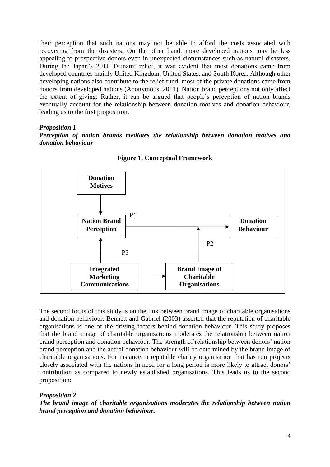their perception that such nations may not be able to afford the costs associated with recovering from the disasters. On the other hand, more developed nations may be less appealing to prospective donors even in unexpected circumstances such as natural disasters. During the Japan's 2011 Tsunami relief, it was evident that most donations came from developed countries mainly United Kingdom, United States, and South Korea. Although other developing nations also contribute to the relief fund, most of the private donations came from donors from developed nations (Anonymous, 2011). Nation brand perceptions not only affect the extent of giving. Rather, it can be argued that people's perception of nation brands eventually account for the relationship between donation motives and donation behaviour, leading us to the first proposition.

*Proposition 1*

*Perception of nation brands mediates the relationship between donation motives and donation behaviour*



**Figure 1. Conceptual Framework**

The second focus of this study is on the link between brand image of charitable organisations and donation behaviour. Bennett and Gabriel (2003) asserted that the reputation of charitable organisations is one of the driving factors behind donation behaviour. This study proposes that the brand image of charitable organisations moderates the relationship between nation brand perception and donation behaviour. The strength of relationship between donors' nation brand perception and the actual donation behaviour will be determined by the brand image of charitable organisations. For instance, a reputable charity organisation that has run projects closely associated with the nations in need for a long period is more likely to attract donors' contribution as compared to newly established organisations. This leads us to the second proposition:

## *Proposition 2*

*The brand image of charitable organisations moderates the relationship between nation brand perception and donation behaviour.*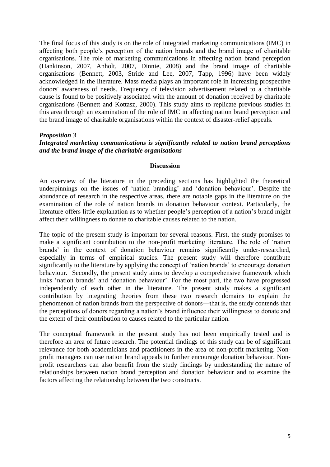The final focus of this study is on the role of integrated marketing communications (IMC) in affecting both people's perception of the nation brands and the brand image of charitable organisations. The role of marketing communications in affecting nation brand perception (Hankinson, 2007, Anholt, 2007, Dinnie, 2008) and the brand image of charitable organisations (Bennett, 2003, Stride and Lee, 2007, Tapp, 1996) have been widely acknowledged in the literature. Mass media plays an important role in increasing prospective donors' awareness of needs. Frequency of television advertisement related to a charitable cause is found to be positively associated with the amount of donation received by charitable organisations (Bennett and Kottasz, 2000). This study aims to replicate previous studies in this area through an examination of the role of IMC in affecting nation brand perception and the brand image of charitable organisations within the context of disaster-relief appeals.

### *Proposition 3 Integrated marketing communications is significantly related to nation brand perceptions and the brand image of the charitable organisations*

#### **Discussion**

An overview of the literature in the preceding sections has highlighted the theoretical underpinnings on the issues of 'nation branding' and 'donation behaviour'. Despite the abundance of research in the respective areas, there are notable gaps in the literature on the examination of the role of nation brands in donation behaviour context. Particularly, the literature offers little explanation as to whether people's perception of a nation's brand might affect their willingness to donate to charitable causes related to the nation.

The topic of the present study is important for several reasons. First, the study promises to make a significant contribution to the non-profit marketing literature. The role of 'nation brands' in the context of donation behaviour remains significantly under-researched, especially in terms of empirical studies. The present study will therefore contribute significantly to the literature by applying the concept of 'nation brands' to encourage donation behaviour. Secondly, the present study aims to develop a comprehensive framework which links 'nation brands' and 'donation behaviour'. For the most part, the two have progressed independently of each other in the literature. The present study makes a significant contribution by integrating theories from these two research domains to explain the phenomenon of nation brands from the perspective of donors—that is, the study contends that the perceptions of donors regarding a nation's brand influence their willingness to donate and the extent of their contribution to causes related to the particular nation.

The conceptual framework in the present study has not been empirically tested and is therefore an area of future research. The potential findings of this study can be of significant relevance for both academicians and practitioners in the area of non-profit marketing. Nonprofit managers can use nation brand appeals to further encourage donation behaviour. Nonprofit researchers can also benefit from the study findings by understanding the nature of relationships between nation brand perception and donation behaviour and to examine the factors affecting the relationship between the two constructs.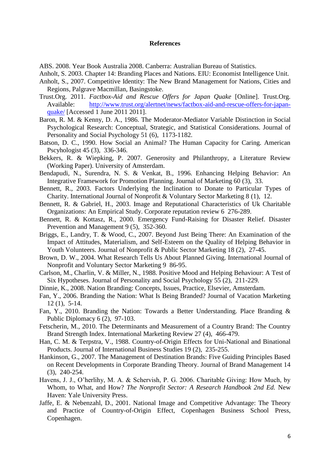#### **References**

ABS. 2008. Year Book Australia 2008. Canberra: Australian Bureau of Statistics.

- Anholt, S. 2003. Chapter 14: Branding Places and Nations. EIU: Economist Intelligence Unit.
- Anholt, S., 2007. Competitive Identity: The New Brand Management for Nations, Cities and Regions*,* Palgrave Macmillan, Basingstoke.
- Trust.Org. 2011. *Factbox-Aid and Rescue Offers for Japan Quake* [Online]. Trust.Org. Available: [http://www.trust.org/alertnet/news/factbox-aid-and-rescue-offers-for-japan](http://www.trust.org/alertnet/news/factbox-aid-and-rescue-offers-for-japan-quake/)[quake/](http://www.trust.org/alertnet/news/factbox-aid-and-rescue-offers-for-japan-quake/) [Accessed 1 June 2011 2011].
- Baron, R. M. & Kenny, D. A., 1986. The Moderator-Mediator Variable Distinction in Social Psychological Research: Conceptual, Strategic, and Statistical Considerations. Journal of Personality and Social Psychology 51 (6), 1173-1182.
- Batson, D. C., 1990. How Social an Animal? The Human Capacity for Caring. American Pscyhologist 45 (3), 336-346.
- Bekkers, R. & Wiepking, P. 2007. Generosity and Philanthropy, a Literature Review (Working Paper). University of Amsterdam.
- Bendapudi, N., Surendra, N. S. & Venkat, B., 1996. Enhancing Helping Behavior: An Integrative Framework for Promotion Planning. Journal of Marketing 60 (3), 33.
- Bennett, R., 2003. Factors Underlying the Inclination to Donate to Particular Types of Charity. International Journal of Nonprofit & Voluntary Sector Marketing 8 (1), 12.
- Bennett, R. & Gabriel, H., 2003. Image and Reputational Characteristics of Uk Charitable Organizations: An Empirical Study. Corporate reputation review 6 276-289.
- Bennett, R. & Kottasz, R., 2000. Emergency Fund-Raising for Disaster Relief. Disaster Prevention and Management 9 (5), 352-360.
- Briggs, E., Landry, T. & Wood, C., 2007. Beyond Just Being There: An Examination of the Impact of Attitudes, Materialism, and Self-Esteem on the Quality of Helping Behavior in Youth Volunteers. Journal of Nonprofit & Public Sector Marketing 18 (2), 27-45.
- Brown, D. W., 2004. What Research Tells Us About Planned Giving. International Journal of Nonprofit and Voluntary Sector Marketing 9 86-95.
- Carlson, M., Charlin, V. & Miller, N., 1988. Positive Mood and Helping Behaviour: A Test of Six Hypotheses. Journal of Personality and Social Psychology 55 (2), 211-229.
- Dinnie, K., 2008. Nation Branding: Concepts, Issues, Practice*,* Elsevier, Amsterdam.
- Fan, Y., 2006. Branding the Nation: What Is Being Branded? Journal of Vacation Marketing 12 (1), 5-14.
- Fan, Y., 2010. Branding the Nation: Towards a Better Understanding. Place Branding & Public Diplomacy 6 (2), 97-103.
- Fetscherin, M., 2010. The Determinants and Measurement of a Country Brand: The Country Brand Strength Index. International Marketing Review 27 (4), 466-479.
- Han, C. M. & Terpstra, V., 1988. Country-of-Origin Effects for Uni-National and Binational Products. Journal of International Business Studies 19 (2), 235-255.
- Hankinson, G., 2007. The Management of Destination Brands: Five Guiding Principles Based on Recent Developments in Corporate Branding Theory. Journal of Brand Management 14 (3), 240-254.
- Havens, J. J., O'herlihy, M. A. & Schervish, P. G. 2006. Charitable Giving: How Much, by Whom, to What, and How? *The Nonprofit Sector: A Research Handbook 2nd Ed.* New Haven: Yale University Press.
- Jaffe, E. & Nebenzahl, D., 2001. National Image and Competitive Advantage: The Theory and Practice of Country-of-Origin Effect*,* Copenhagen Business School Press, Copenhagen.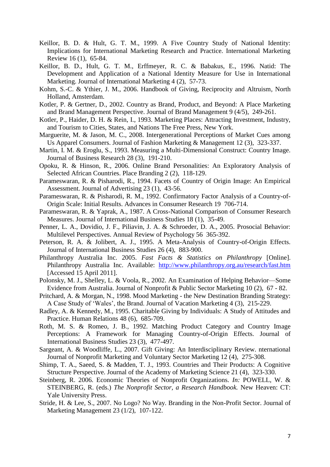- Keillor, B. D. & Hult, G. T. M., 1999. A Five Country Study of National Identity: Implications for International Marketing Research and Practice. International Marketing Review 16 (1), 65-84.
- Keillor, B. D., Hult, G. T. M., Erffmeyer, R. C. & Babakus, E., 1996. Natid: The Development and Application of a National Identity Measure for Use in International Marketing. Journal of International Marketing 4 (2), 57-73.
- Kohm, S.-C. & Ythier, J. M., 2006. Handbook of Giving, Reciprocity and Altruism*,* North Holland, Amsterdam.
- Kotler, P. & Gertner, D., 2002. Country as Brand, Product, and Beyond: A Place Marketing and Brand Management Perspective. Journal of Brand Management 9 (4/5), 249-261.
- Kotler, P., Haider, D. H. & Rein, I., 1993. Marketing Places: Attracting Investment, Industry, and Tourism to Cities, States, and Nations The Free Press, New York.
- Marguerite, M. & Jason, M. C., 2008. Intergenerational Perceptions of Market Cues among Us Apparel Consumers. Journal of Fashion Marketing & Management 12 (3), 323-337.
- Martin, I. M. & Eroglu, S., 1993. Measuring a Multi-Dimensional Construct: Country Image. Journal of Business Research 28 (3), 191-210.
- Opoku, R. & Hinson, R., 2006. Online Brand Personalities: An Exploratory Analysis of Selected African Countries. Place Branding 2 (2), 118-129.
- Parameswaran, R. & Pisharodi, R., 1994. Facets of Country of Origin Image: An Empirical Assessment. Journal of Advertising 23 (1), 43-56.
- Parameswaran, R. & Pisharodi, R. M., 1992. Confirmatory Factor Analysis of a Country-of-Origin Scale: Initial Results. Advances in Consumer Research 19 706-714.
- Parameswaran, R. & Yaprak, A., 1987. A Cross-National Comparison of Consumer Research Measures. Journal of International Business Studies 18 (1), 35-49.
- Penner, L. A., Dovidio, J. F., Piliavin, J. A. & Schroeder, D. A., 2005. Prosocial Behavior: Multilevel Perspectives. Annual Review of Psychology 56 365-392.
- Peterson, R. A. & Jolibert, A. J., 1995. A Meta-Analysis of Country-of-Origin Effects. Journal of International Business Studies 26 (4), 883-900.
- Philanthropy Australia Inc. 2005. *Fast Facts & Statistics on Philanthropy* [Online]. Philanthropy Australia Inc. Available: <http://www.philanthropy.org.au/research/fast.htm> [Accessed 15 April 2011].
- Polonsky, M. J., Shelley, L. & Voola, R., 2002. An Examination of Helping Behavior—Some Evidence from Australia. Journal of Nonprofit & Public Sector Marketing 10 (2), 67 - 82.
- Pritchard, A. & Morgan, N., 1998. Mood Marketing the New Destination Branding Strategy: A Case Study of 'Wales', the Brand. Journal of Vacation Marketing 4 (3), 215-229.
- Radley, A. & Kennedy, M., 1995. Charitable Giving by Individuals: A Study of Attitudes and Practice. Human Relations 48 (6), 685-709.
- Roth, M. S. & Romeo, J. B., 1992. Matching Product Category and Country Image Perceptions: A Framework for Managing Country-of-Origin Effects. Journal of International Business Studies 23 (3), 477-497.
- Sargeant, A. & Woodliffe, L., 2007. Gift Giving: An Interdisciplinary Review. nternational Journal of Nonprofit Marketing and Voluntary Sector Marketing 12 (4), 275-308.
- Shimp, T. A., Saeed, S. & Madden, T. J., 1993. Countries and Their Products: A Cognitive Structure Perspective. Journal of the Academy of Marketing Science 21 (4), 323-330.
- Steinberg, R. 2006. Economic Theories of Nonprofit Organizations. *In:* POWELL, W. & STEINBERG, R. (eds.) *The Nonprofit Sector, a Research Handbook.* New Heaven: CT: Yale University Press.
- Stride, H. & Lee, S., 2007. No Logo? No Way. Branding in the Non-Profit Sector. Journal of Marketing Management 23 (1/2), 107-122.